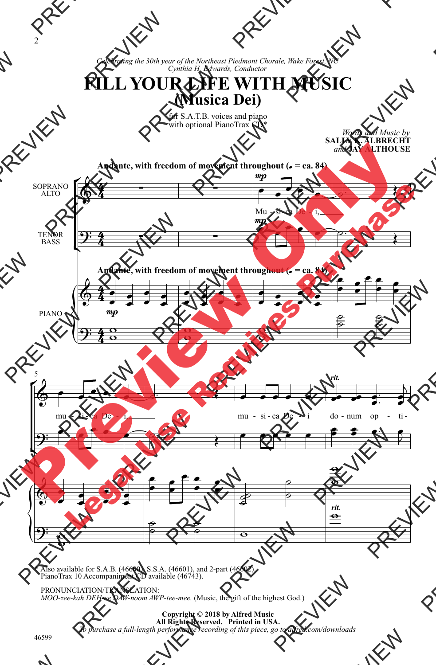*Celebrating the 30th year of the Northeast Piedmont Chorale, Wake Forest, NC Cynthia H. Edwards, Conductor*

## **FILL YOUR LIFE WITH MUSIC (Musica Dei)**

for S.A.T.B. voices and piano with optional PianoTrax CD\*



\* Also available for S.A.B. (46600), S.S.A. (46601), and 2-part (46602). PianoTrax 10 Accompaniment CD available (46743).

PRONUNCIATION/TRANSLATION:

*MOO-zee-kah DEH-ee DAW-noom AWP-tee-mee.* (Music, the gift of the highest God.)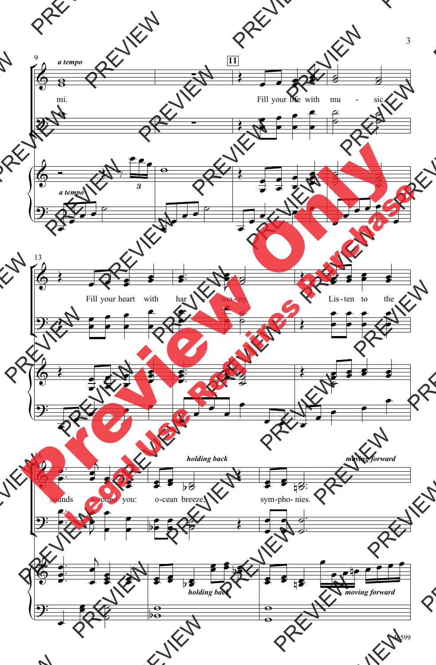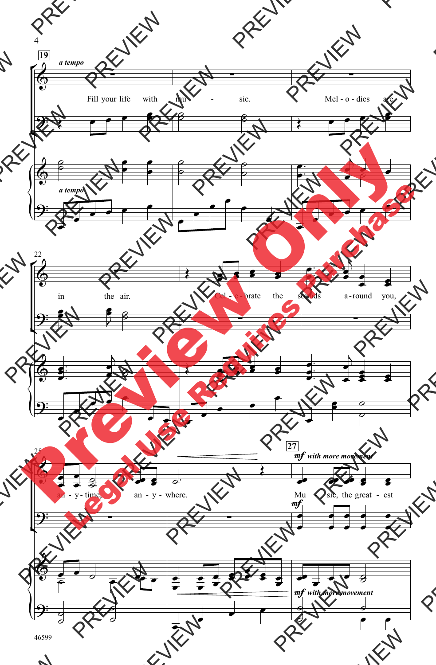

## 46599

4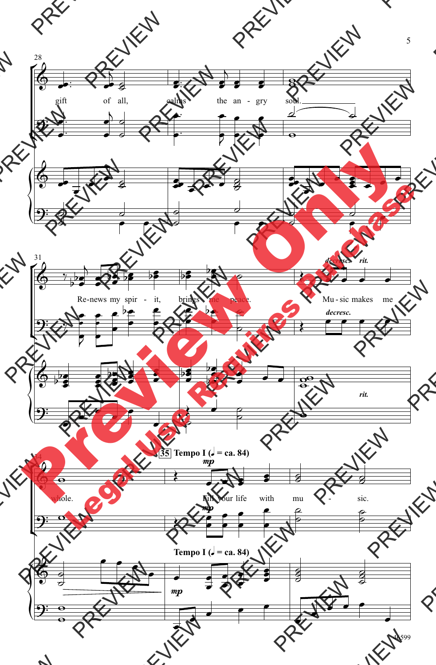

46599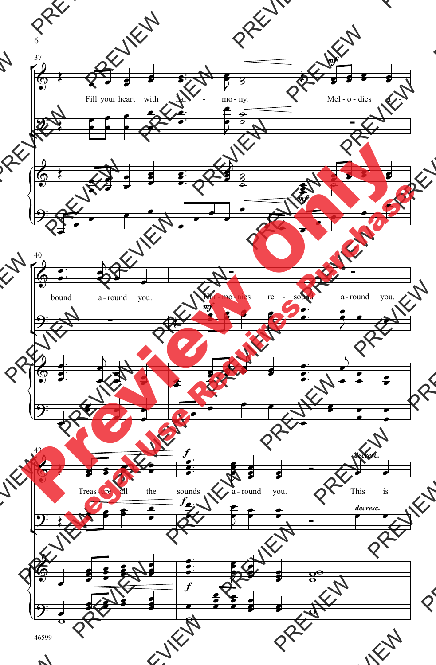